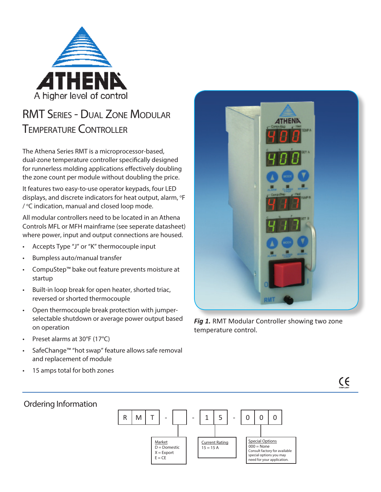

# RMT Series - Dual Zone Modular Temperature Controller

The Athena Series RMT is a microprocessor-based, dual-zone temperature controller specifically designed for runnerless molding applications effectively doubling the zone count per module without doubling the price.

It features two easy-to-use operator keypads, four LED displays, and discrete indicators for heat output, alarm, °F / °C indication, manual and closed loop mode.

All modular controllers need to be located in an Athena Controls MFL or MFH mainframe (see seperate datasheet) where power, input and output connections are housed.

- Accepts Type "J" or "K" thermocouple input
- Bumpless auto/manual transfer
- CompuStep™ bake out feature prevents moisture at startup
- Built-in loop break for open heater, shorted triac, reversed or shorted thermocouple
- Open thermocouple break protection with jumperselectable shutdown or average power output based on operation
- Preset alarms at 30°F (17°C)
- SafeChange™ "hot swap" feature allows safe removal and replacement of module
- 15 amps total for both zones



**Fig 1.** RMT Modular Controller showing two zone temperature control.



## Ordering Information